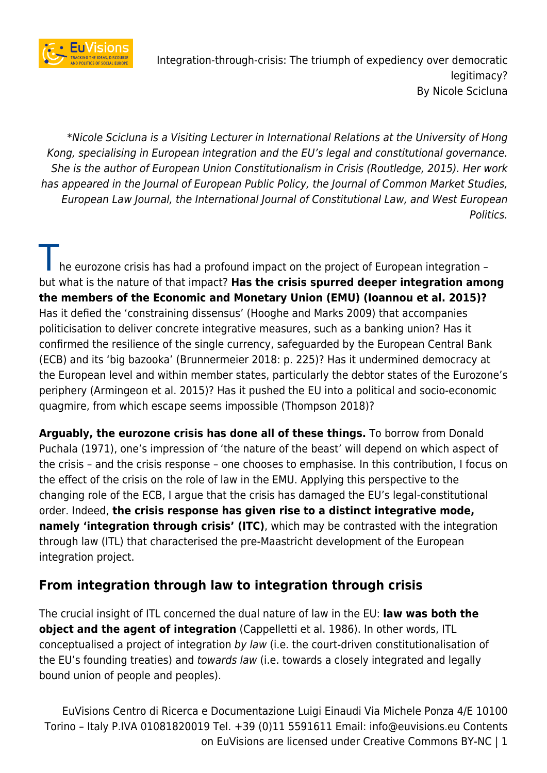

\*Nicole Scicluna is a Visiting Lecturer in International Relations at the University of Hong Kong, specialising in European integration and the EU's legal and constitutional governance. She is the author of European Union Constitutionalism in Crisis (Routledge, 2015). Her work has appeared in the Journal of European Public Policy, the Journal of Common Market Studies, European Law Journal, the International Journal of Constitutional Law, and West European Politics.

he eurozone crisis has had a profound impact on the project of European integration – but what is the nature of that impact? **Has the crisis spurred deeper integration among the members of the Economic and Monetary Union (EMU) (Ioannou et al. 2015)?** Has it defied the 'constraining dissensus' (Hooghe and Marks 2009) that accompanies politicisation to deliver concrete integrative measures, such as a banking union? Has it confirmed the resilience of the single currency, safeguarded by the European Central Bank (ECB) and its 'big bazooka' (Brunnermeier 2018: p. 225)? Has it undermined democracy at the European level and within member states, particularly the debtor states of the Eurozone's periphery (Armingeon et al. 2015)? Has it pushed the EU into a political and socio-economic quagmire, from which escape seems impossible (Thompson 2018)?

**Arguably, the eurozone crisis has done all of these things.** To borrow from Donald Puchala (1971), one's impression of 'the nature of the beast' will depend on which aspect of the crisis – and the crisis response – one chooses to emphasise. In this contribution, I focus on the effect of the crisis on the role of law in the EMU. Applying this perspective to the changing role of the ECB, I argue that the crisis has damaged the EU's legal-constitutional order. Indeed, **the crisis response has given rise to a distinct integrative mode, namely 'integration through crisis' (ITC)**, which may be contrasted with the integration through law (ITL) that characterised the pre-Maastricht development of the European integration project.

### **From integration through law to integration through crisis**

The crucial insight of ITL concerned the dual nature of law in the EU: **law was both the object and the agent of integration** (Cappelletti et al. 1986). In other words, ITL conceptualised a project of integration by law (i.e. the court-driven constitutionalisation of the EU's founding treaties) and towards law (i.e. towards a closely integrated and legally bound union of people and peoples).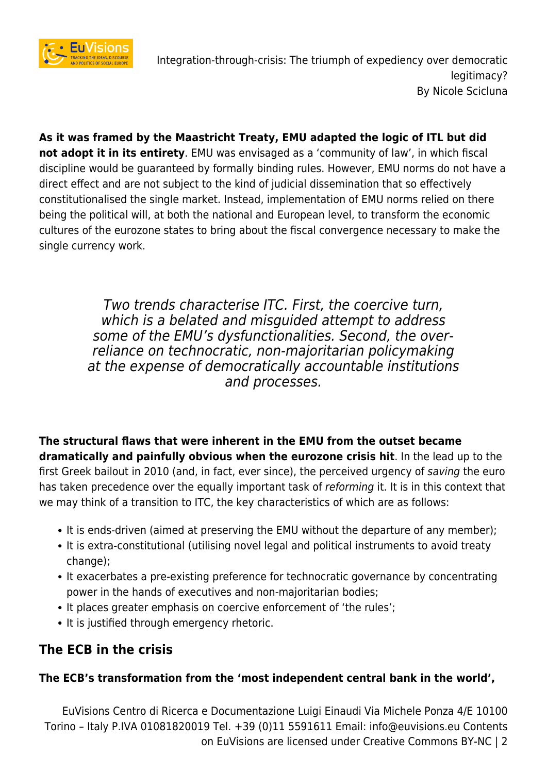

**As it was framed by the Maastricht Treaty, EMU adapted the logic of ITL but did not adopt it in its entirety**. EMU was envisaged as a 'community of law', in which fiscal discipline would be guaranteed by formally binding rules. However, EMU norms do not have a direct effect and are not subject to the kind of judicial dissemination that so effectively constitutionalised the single market. Instead, implementation of EMU norms relied on there being the political will, at both the national and European level, to transform the economic cultures of the eurozone states to bring about the fiscal convergence necessary to make the single currency work.

> Two trends characterise ITC. First, the coercive turn, which is a belated and misquided attempt to address some of the EMU's dysfunctionalities. Second, the overreliance on technocratic, non-majoritarian policymaking at the expense of democratically accountable institutions and processes.

**The structural flaws that were inherent in the EMU from the outset became dramatically and painfully obvious when the eurozone crisis hit**. In the lead up to the first Greek bailout in 2010 (and, in fact, ever since), the perceived urgency of saving the euro has taken precedence over the equally important task of *reforming* it. It is in this context that we may think of a transition to ITC, the key characteristics of which are as follows:

- It is ends-driven (aimed at preserving the EMU without the departure of any member);
- It is extra-constitutional (utilising novel legal and political instruments to avoid treaty change);
- It exacerbates a pre-existing preference for technocratic governance by concentrating power in the hands of executives and non-majoritarian bodies;
- It places greater emphasis on coercive enforcement of 'the rules';
- It is justified through emergency rhetoric.

## **The ECB in the crisis**

### **The ECB's transformation from the 'most independent central bank in the world',**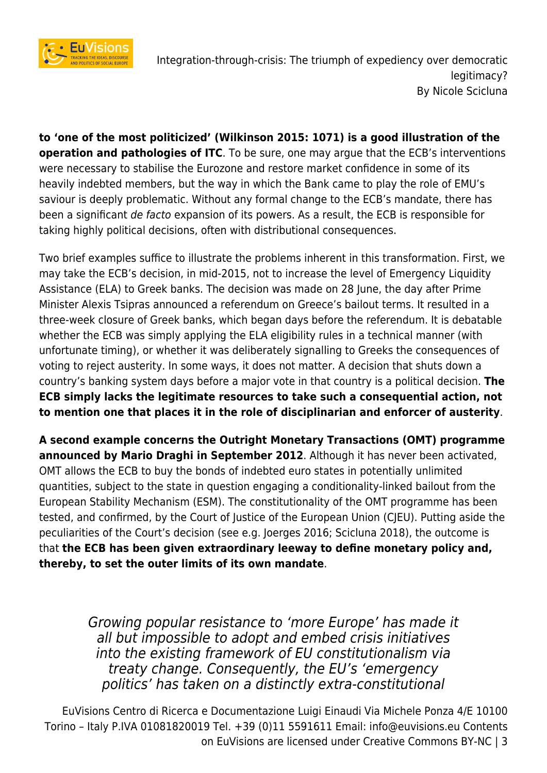

**to 'one of the most politicized' (Wilkinson 2015: 1071) is a good illustration of the operation and pathologies of ITC**. To be sure, one may argue that the ECB's interventions were necessary to stabilise the Eurozone and restore market confidence in some of its heavily indebted members, but the way in which the Bank came to play the role of EMU's saviour is deeply problematic. Without any formal change to the ECB's mandate, there has been a significant de facto expansion of its powers. As a result, the ECB is responsible for taking highly political decisions, often with distributional consequences.

Two brief examples suffice to illustrate the problems inherent in this transformation. First, we may take the ECB's decision, in mid-2015, not to increase the level of Emergency Liquidity Assistance (ELA) to Greek banks. The decision was made on 28 June, the day after Prime Minister Alexis Tsipras announced a referendum on Greece's bailout terms. It resulted in a three-week closure of Greek banks, which began days before the referendum. It is debatable whether the ECB was simply applying the ELA eligibility rules in a technical manner (with unfortunate timing), or whether it was deliberately signalling to Greeks the consequences of voting to reject austerity. In some ways, it does not matter. A decision that shuts down a country's banking system days before a major vote in that country is a political decision. **The ECB simply lacks the legitimate resources to take such a consequential action, not to mention one that places it in the role of disciplinarian and enforcer of austerity**.

**A second example concerns the Outright Monetary Transactions (OMT) programme announced by Mario Draghi in September 2012**. Although it has never been activated, OMT allows the ECB to buy the bonds of indebted euro states in potentially unlimited quantities, subject to the state in question engaging a conditionality-linked bailout from the European Stability Mechanism (ESM). The constitutionality of the OMT programme has been tested, and confirmed, by the Court of Justice of the European Union (CJEU). Putting aside the peculiarities of the Court's decision (see e.g. Joerges 2016; Scicluna 2018), the outcome is that **the ECB has been given extraordinary leeway to define monetary policy and, thereby, to set the outer limits of its own mandate**.

> Growing popular resistance to 'more Europe' has made it all but impossible to adopt and embed crisis initiatives into the existing framework of EU constitutionalism via treaty change. Consequently, the EU's 'emergency politics' has taken on a distinctly extra-constitutional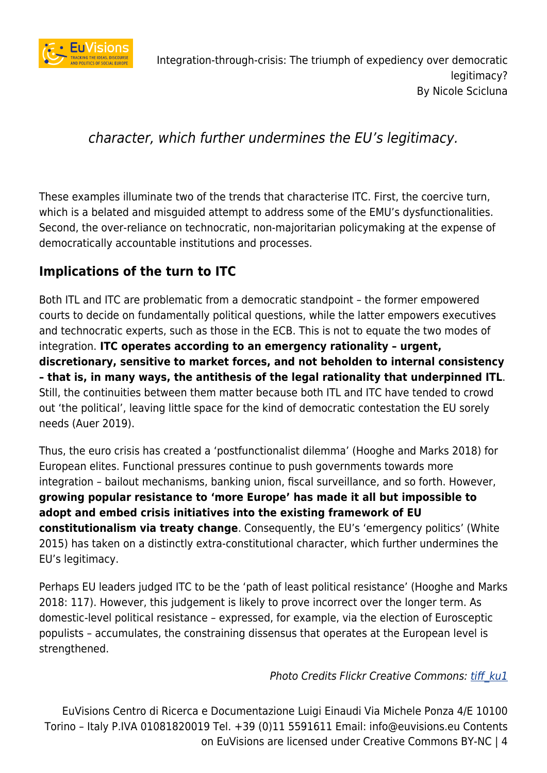

# character, which further undermines the EU's legitimacy.

These examples illuminate two of the trends that characterise ITC. First, the coercive turn, which is a belated and misguided attempt to address some of the EMU's dysfunctionalities. Second, the over-reliance on technocratic, non-majoritarian policymaking at the expense of democratically accountable institutions and processes.

## **Implications of the turn to ITC**

Both ITL and ITC are problematic from a democratic standpoint – the former empowered courts to decide on fundamentally political questions, while the latter empowers executives and technocratic experts, such as those in the ECB. This is not to equate the two modes of integration. **ITC operates according to an emergency rationality – urgent, discretionary, sensitive to market forces, and not beholden to internal consistency – that is, in many ways, the antithesis of the legal rationality that underpinned ITL**. Still, the continuities between them matter because both ITL and ITC have tended to crowd out 'the political', leaving little space for the kind of democratic contestation the EU sorely needs (Auer 2019).

Thus, the euro crisis has created a 'postfunctionalist dilemma' (Hooghe and Marks 2018) for European elites. Functional pressures continue to push governments towards more integration – bailout mechanisms, banking union, fiscal surveillance, and so forth. However, **growing popular resistance to 'more Europe' has made it all but impossible to adopt and embed crisis initiatives into the existing framework of EU constitutionalism via treaty change**. Consequently, the EU's 'emergency politics' (White 2015) has taken on a distinctly extra-constitutional character, which further undermines the EU's legitimacy.

Perhaps EU leaders judged ITC to be the 'path of least political resistance' (Hooghe and Marks 2018: 117). However, this judgement is likely to prove incorrect over the longer term. As domestic-level political resistance – expressed, for example, via the election of Eurosceptic populists – accumulates, the constraining dissensus that operates at the European level is strengthened.

### Photo Credits Flickr Creative Commons: tiff ku1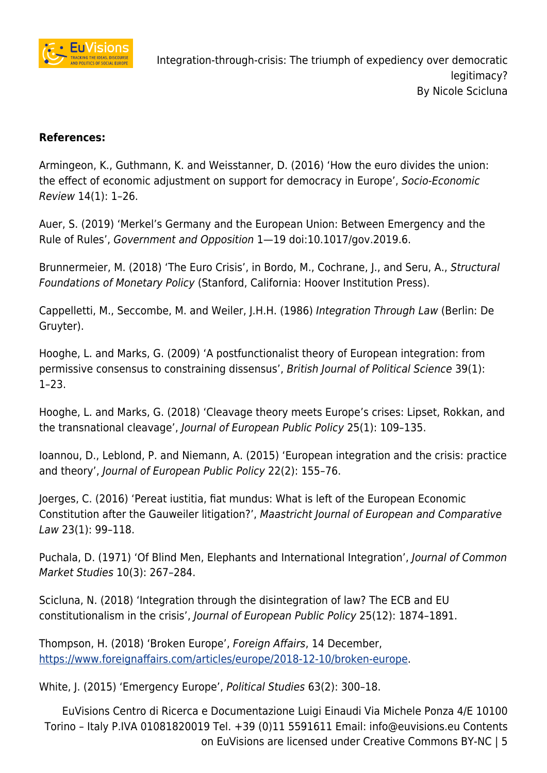

#### **References:**

Armingeon, K., Guthmann, K. and Weisstanner, D. (2016) 'How the euro divides the union: the effect of economic adjustment on support for democracy in Europe', Socio-Economic Review 14(1): 1–26.

Auer, S. (2019) 'Merkel's Germany and the European Union: Between Emergency and the Rule of Rules', Government and Opposition 1—19 doi:10.1017/gov.2019.6.

Brunnermeier, M. (2018) 'The Euro Crisis', in Bordo, M., Cochrane, J., and Seru, A., Structural Foundations of Monetary Policy (Stanford, California: Hoover Institution Press).

Cappelletti, M., Seccombe, M. and Weiler, J.H.H. (1986) Integration Through Law (Berlin: De Gruyter).

Hooghe, L. and Marks, G. (2009) 'A postfunctionalist theory of European integration: from permissive consensus to constraining dissensus', British Journal of Political Science 39(1): 1–23.

Hooghe, L. and Marks, G. (2018) 'Cleavage theory meets Europe's crises: Lipset, Rokkan, and the transnational cleavage', Journal of European Public Policy 25(1): 109–135.

Ioannou, D., Leblond, P. and Niemann, A. (2015) 'European integration and the crisis: practice and theory', Journal of European Public Policy 22(2): 155–76.

Joerges, C. (2016) 'Pereat iustitia, fiat mundus: What is left of the European Economic Constitution after the Gauweiler litigation?', Maastricht Journal of European and Comparative Law 23(1): 99–118.

Puchala, D. (1971) 'Of Blind Men, Elephants and International Integration', Journal of Common Market Studies 10(3): 267–284.

Scicluna, N. (2018) 'Integration through the disintegration of law? The ECB and EU constitutionalism in the crisis', Journal of European Public Policy 25(12): 1874–1891.

Thompson, H. (2018) 'Broken Europe', Foreign Affairs, 14 December, [https://www.foreignaffairs.com/articles/europe/2018-12-10/broken-europe.](https://www.foreignaffairs.com/articles/europe/2018-12-10/broken-europe)

White, J. (2015) 'Emergency Europe', Political Studies 63(2): 300–18.